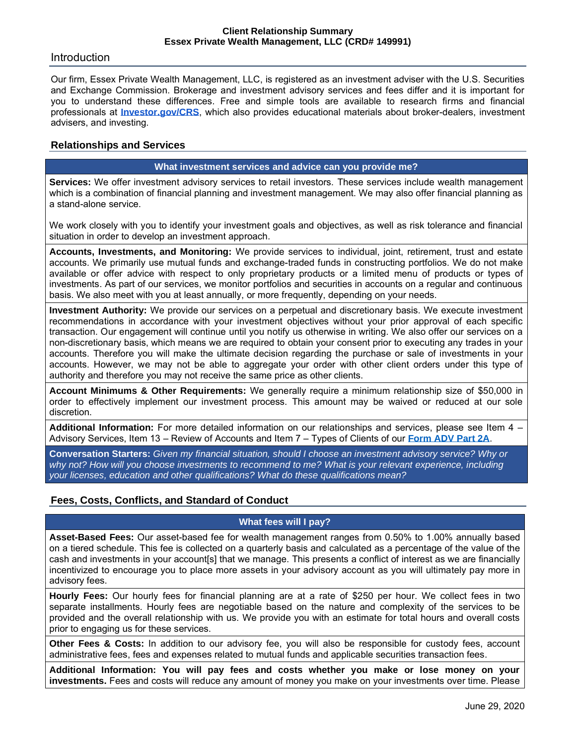## Introduction

Our firm, Essex Private Wealth Management, LLC, is registered as an investment adviser with the U.S. Securities and Exchange Commission. Brokerage and investment advisory services and fees differ and it is important for you to understand these differences. Free and simple tools are available to research firms and financial professionals at **[Investor.gov/CRS](http://investor.gov/CRS)**, which also provides educational materials about broker-dealers, investment advisers, and investing.

## **Relationships and Services**

### **What investment services and advice can you provide me?**

**Services:** We offer investment advisory services to retail investors. These services include wealth management which is a combination of financial planning and investment management. We may also offer financial planning as a stand-alone service.

We work closely with you to identify your investment goals and objectives, as well as risk tolerance and financial situation in order to develop an investment approach.

**Accounts, Investments, and Monitoring:** We provide services to individual, joint, retirement, trust and estate accounts. We primarily use mutual funds and exchange-traded funds in constructing portfolios. We do not make available or offer advice with respect to only proprietary products or a limited menu of products or types of investments. As part of our services, we monitor portfolios and securities in accounts on a regular and continuous basis. We also meet with you at least annually, or more frequently, depending on your needs.

**Investment Authority:** We provide our services on a perpetual and discretionary basis. We execute investment recommendations in accordance with your investment objectives without your prior approval of each specific transaction. Our engagement will continue until you notify us otherwise in writing. We also offer our services on a non-discretionary basis, which means we are required to obtain your consent prior to executing any trades in your accounts. Therefore you will make the ultimate decision regarding the purchase or sale of investments in your accounts. However, we may not be able to aggregate your order with other client orders under this type of authority and therefore you may not receive the same price as other clients.

**Account Minimums & Other Requirements:** We generally require a minimum relationship size of \$50,000 in order to effectively implement our investment process. This amount may be waived or reduced at our sole discretion.

**Additional Information:** For more detailed information on our relationships and services, please see Item 4 – Advisory Services, Item 13 – Review of Accounts and Item 7 – Types of Clients of our **[Form ADV Part 2A](https://adviserinfo.sec.gov/firm/brochure/149991)**.

**Conversation Starters:** *Given my financial situation, should I choose an investment advisory service? Why or why not? How will you choose investments to recommend to me? What is your relevant experience, including your licenses, education and other qualifications? What do these qualifications mean?*

# **Fees, Costs, Conflicts, and Standard of Conduct**

## **What fees will I pay?**

**Asset-Based Fees:** Our asset-based fee for wealth management ranges from 0.50% to 1.00% annually based on a tiered schedule. This fee is collected on a quarterly basis and calculated as a percentage of the value of the cash and investments in your account[s] that we manage. This presents a conflict of interest as we are financially incentivized to encourage you to place more assets in your advisory account as you will ultimately pay more in advisory fees.

**Hourly Fees:** Our hourly fees for financial planning are at a rate of \$250 per hour. We collect fees in two separate installments. Hourly fees are negotiable based on the nature and complexity of the services to be provided and the overall relationship with us. We provide you with an estimate for total hours and overall costs prior to engaging us for these services.

**Other Fees & Costs:** In addition to our advisory fee, you will also be responsible for custody fees, account administrative fees, fees and expenses related to mutual funds and applicable securities transaction fees.

**Additional Information: You will pay fees and costs whether you make or lose money on your investments.** Fees and costs will reduce any amount of money you make on your investments over time. Please